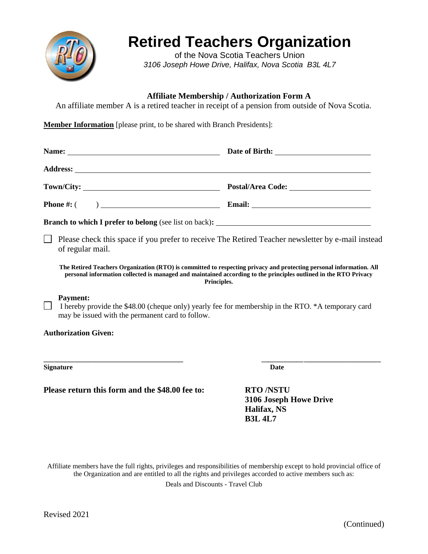

## **Retired Teachers Organization**

of the Nova Scotia Teachers Union *3106 Joseph Howe Drive, Halifax, Nova Scotia B3L 4L7*

## **Affiliate Membership / Authorization Form A**

An affiliate member A is a retired teacher in receipt of a pension from outside of Nova Scotia.

**Member Information** [please print, to be shared with Branch Presidents]:

| Please check this space if you prefer to receive The Retired Teacher newsletter by e-mail instead<br>of regular mail.                                                                                                                                  |                                                          |
|--------------------------------------------------------------------------------------------------------------------------------------------------------------------------------------------------------------------------------------------------------|----------------------------------------------------------|
| The Retired Teachers Organization (RTO) is committed to respecting privacy and protecting personal information. All<br>personal information collected is managed and maintained according to the principles outlined in the RTO Privacy<br>Principles. |                                                          |
| <b>Payment:</b><br>I hereby provide the \$48.00 (cheque only) yearly fee for membership in the RTO. *A temporary card<br>may be issued with the permanent card to follow.                                                                              |                                                          |
| <b>Authorization Given:</b>                                                                                                                                                                                                                            |                                                          |
| <u> 1980 - Jan James James Jan James James James James James James James James James James James James James Jam</u><br><b>Signature</b>                                                                                                               | <b>Date</b>                                              |
| Please return this form and the \$48.00 fee to:                                                                                                                                                                                                        | <b>RTO/NSTU</b><br>3106 Joseph Howe Drive<br>Halifax, NS |

Affiliate members have the full rights, privileges and responsibilities of membership except to hold provincial office of the Organization and are entitled to all the rights and privileges accorded to active members such as:

**B3L 4L7**

Deals and Discounts - Travel Club

(Continued)